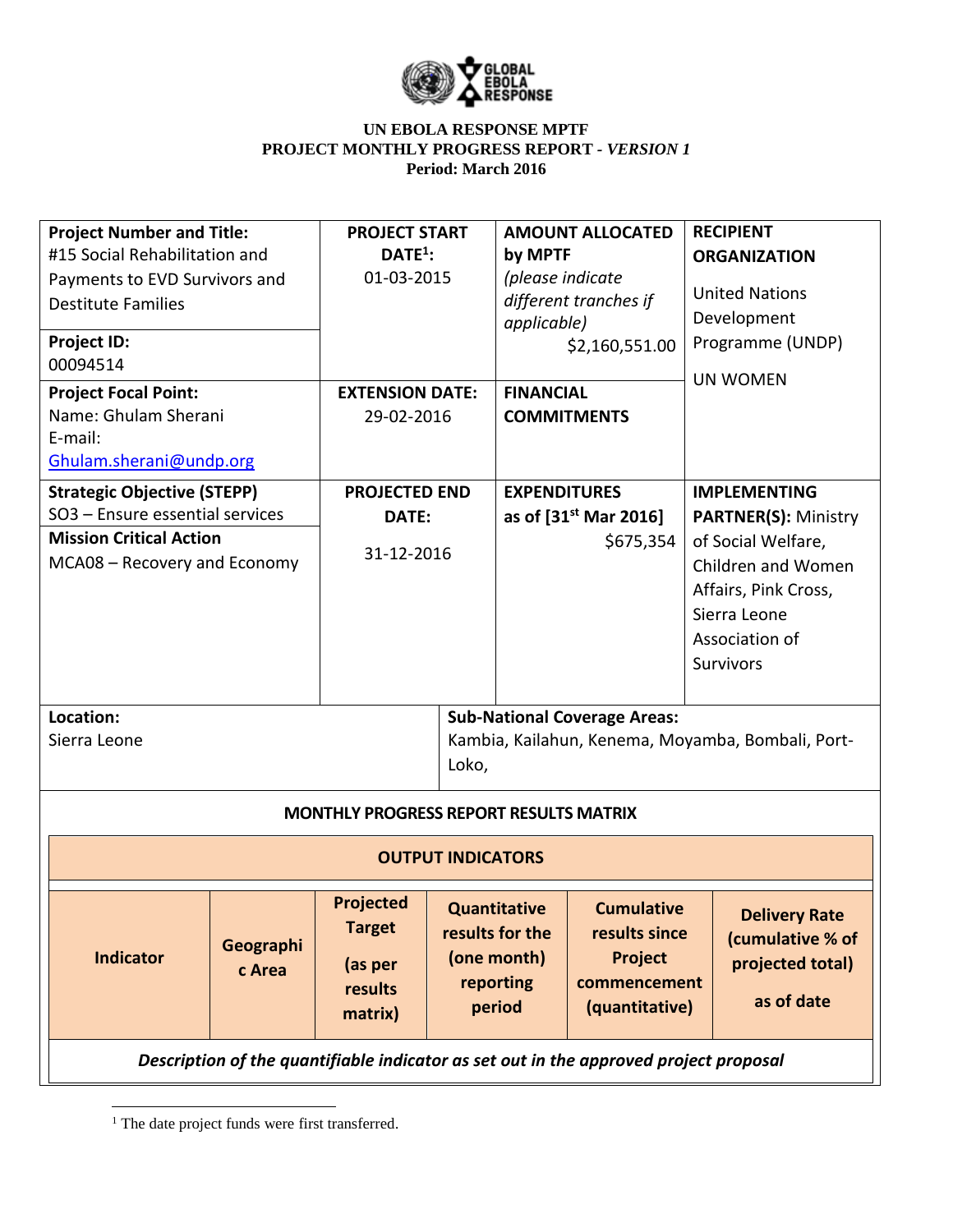

| <b>Project Number and Title:</b><br>#15 Social Rehabilitation and<br>Payments to EVD Survivors and<br><b>Destitute Families</b><br>Project ID:<br>00094514<br><b>Project Focal Point:</b><br>Name: Ghulam Sherani |                     | <b>PROJECT START</b><br>$DATE1$ :<br>01-03-2015<br><b>EXTENSION DATE:</b><br>29-02-2016 |       | <b>AMOUNT ALLOCATED</b><br>by MPTF<br>(please indicate<br>different tranches if<br>applicable)<br>\$2,160,551.00<br><b>FINANCIAL</b><br><b>COMMITMENTS</b> |                                                                                 |                                                                                                                                                                              | <b>RECIPIENT</b><br><b>ORGANIZATION</b><br><b>United Nations</b><br>Development<br>Programme (UNDP)<br><b>UN WOMEN</b> |
|-------------------------------------------------------------------------------------------------------------------------------------------------------------------------------------------------------------------|---------------------|-----------------------------------------------------------------------------------------|-------|------------------------------------------------------------------------------------------------------------------------------------------------------------|---------------------------------------------------------------------------------|------------------------------------------------------------------------------------------------------------------------------------------------------------------------------|------------------------------------------------------------------------------------------------------------------------|
| E-mail:<br>Ghulam.sherani@undp.org                                                                                                                                                                                |                     |                                                                                         |       |                                                                                                                                                            |                                                                                 |                                                                                                                                                                              |                                                                                                                        |
| <b>Strategic Objective (STEPP)</b><br>SO3 - Ensure essential services<br><b>Mission Critical Action</b><br>MCA08 - Recovery and Economy                                                                           |                     | <b>PROJECTED END</b><br>DATE:<br>31-12-2016                                             |       | <b>EXPENDITURES</b><br>as of $[31^{st}$ Mar 2016]<br>\$675,354                                                                                             |                                                                                 | <b>IMPLEMENTING</b><br><b>PARTNER(S): Ministry</b><br>of Social Welfare,<br>Children and Women<br>Affairs, Pink Cross,<br>Sierra Leone<br>Association of<br><b>Survivors</b> |                                                                                                                        |
| Location:<br>Sierra Leone                                                                                                                                                                                         |                     |                                                                                         | Loko, |                                                                                                                                                            | <b>Sub-National Coverage Areas:</b>                                             |                                                                                                                                                                              | Kambia, Kailahun, Kenema, Moyamba, Bombali, Port-                                                                      |
| <b>MONTHLY PROGRESS REPORT RESULTS MATRIX</b>                                                                                                                                                                     |                     |                                                                                         |       |                                                                                                                                                            |                                                                                 |                                                                                                                                                                              |                                                                                                                        |
|                                                                                                                                                                                                                   |                     | <b>OUTPUT INDICATORS</b>                                                                |       |                                                                                                                                                            |                                                                                 |                                                                                                                                                                              |                                                                                                                        |
| <b>Indicator</b>                                                                                                                                                                                                  | Geographi<br>c Area | <b>Projected</b><br><b>Target</b><br>(as per<br>results<br>matrix)                      |       | <b>Quantitative</b><br>results for the<br>(one month)<br>reporting<br>period                                                                               | <b>Cumulative</b><br>results since<br>Project<br>commencement<br>(quantitative) |                                                                                                                                                                              | <b>Delivery Rate</b><br>(cumulative % of<br>projected total)<br>as of date                                             |
| Description of the quantifiable indicator as set out in the approved project proposal                                                                                                                             |                     |                                                                                         |       |                                                                                                                                                            |                                                                                 |                                                                                                                                                                              |                                                                                                                        |

<sup>&</sup>lt;sup>1</sup> The date project funds were first transferred.

 $\overline{\phantom{a}}$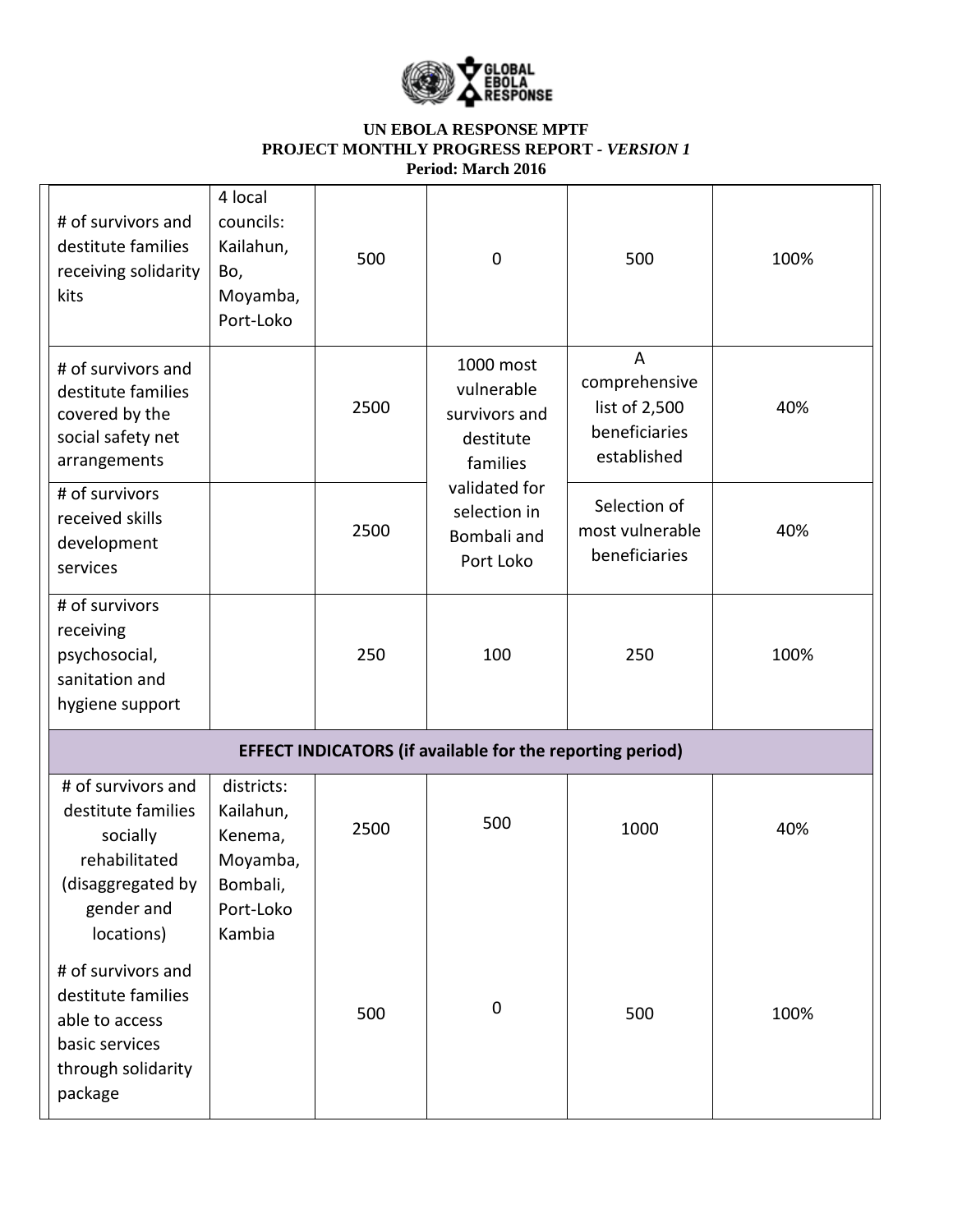

| # of survivors and<br>destitute families<br>receiving solidarity<br>kits                                                                  | 4 local<br>councils:<br>Kailahun,<br>Bo,<br>Moyamba,<br>Port-Loko | 500  | $\mathbf 0$                                                       | 500                                                                              | 100% |
|-------------------------------------------------------------------------------------------------------------------------------------------|-------------------------------------------------------------------|------|-------------------------------------------------------------------|----------------------------------------------------------------------------------|------|
| # of survivors and<br>destitute families<br>covered by the<br>social safety net<br>arrangements                                           |                                                                   | 2500 | 1000 most<br>vulnerable<br>survivors and<br>destitute<br>families | $\overline{A}$<br>comprehensive<br>list of 2,500<br>beneficiaries<br>established | 40%  |
| # of survivors<br>received skills<br>development<br>services                                                                              |                                                                   | 2500 | validated for<br>selection in<br>Bombali and<br>Port Loko         | Selection of<br>most vulnerable<br>beneficiaries                                 | 40%  |
| # of survivors<br>receiving<br>psychosocial,<br>sanitation and<br>hygiene support                                                         |                                                                   | 250  | 100                                                               | 250                                                                              | 100% |
| <b>EFFECT INDICATORS (if available for the reporting period)</b>                                                                          |                                                                   |      |                                                                   |                                                                                  |      |
| # of survivors and<br>destitute families<br>socially<br>rehabilitated<br>(disaggregated by                                                | districts:<br>Kailahun,<br>Kenema,<br>Moyamba,<br>Bombali,        | 2500 | 500                                                               | 1000                                                                             | 40%  |
| gender and<br>locations)<br># of survivors and<br>destitute families<br>able to access<br>basic services<br>through solidarity<br>package | Port-Loko<br>Kambia                                               | 500  | $\boldsymbol{0}$                                                  | 500                                                                              | 100% |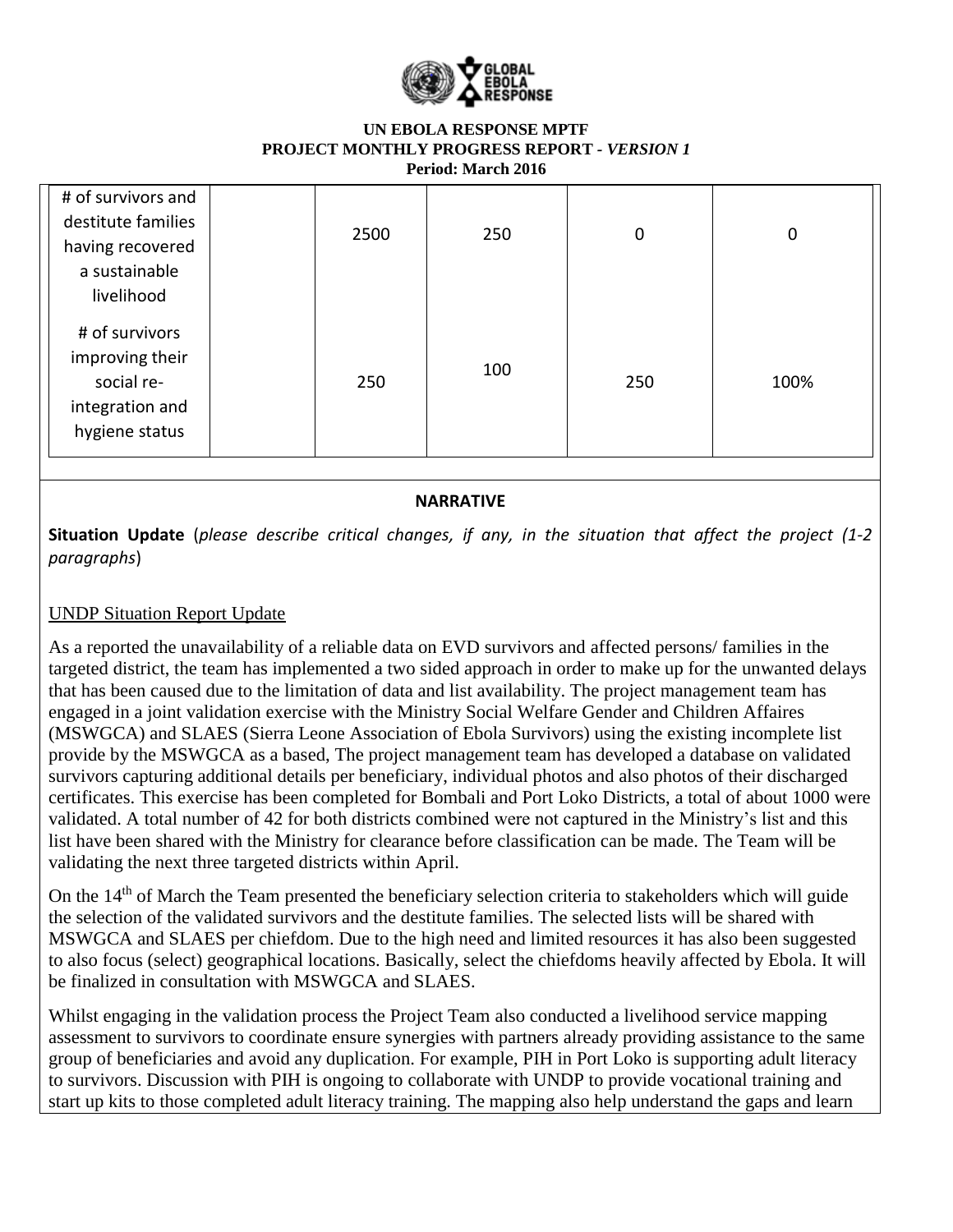

| # of survivors and<br>destitute families<br>having recovered     | 2500 | 250 | $\mathbf 0$ | 0    |
|------------------------------------------------------------------|------|-----|-------------|------|
| a sustainable<br>livelihood<br># of survivors<br>improving their |      |     |             |      |
| social re-<br>integration and<br>hygiene status                  | 250  | 100 | 250         | 100% |

## **NARRATIVE**

**Situation Update** (*please describe critical changes, if any, in the situation that affect the project (1-2 paragraphs*)

# UNDP Situation Report Update

As a reported the unavailability of a reliable data on EVD survivors and affected persons/ families in the targeted district, the team has implemented a two sided approach in order to make up for the unwanted delays that has been caused due to the limitation of data and list availability. The project management team has engaged in a joint validation exercise with the Ministry Social Welfare Gender and Children Affaires (MSWGCA) and SLAES (Sierra Leone Association of Ebola Survivors) using the existing incomplete list provide by the MSWGCA as a based, The project management team has developed a database on validated survivors capturing additional details per beneficiary, individual photos and also photos of their discharged certificates. This exercise has been completed for Bombali and Port Loko Districts, a total of about 1000 were validated. A total number of 42 for both districts combined were not captured in the Ministry's list and this list have been shared with the Ministry for clearance before classification can be made. The Team will be validating the next three targeted districts within April.

On the 14<sup>th</sup> of March the Team presented the beneficiary selection criteria to stakeholders which will guide the selection of the validated survivors and the destitute families. The selected lists will be shared with MSWGCA and SLAES per chiefdom. Due to the high need and limited resources it has also been suggested to also focus (select) geographical locations. Basically, select the chiefdoms heavily affected by Ebola. It will be finalized in consultation with MSWGCA and SLAES.

Whilst engaging in the validation process the Project Team also conducted a livelihood service mapping assessment to survivors to coordinate ensure synergies with partners already providing assistance to the same group of beneficiaries and avoid any duplication. For example, PIH in Port Loko is supporting adult literacy to survivors. Discussion with PIH is ongoing to collaborate with UNDP to provide vocational training and start up kits to those completed adult literacy training. The mapping also help understand the gaps and learn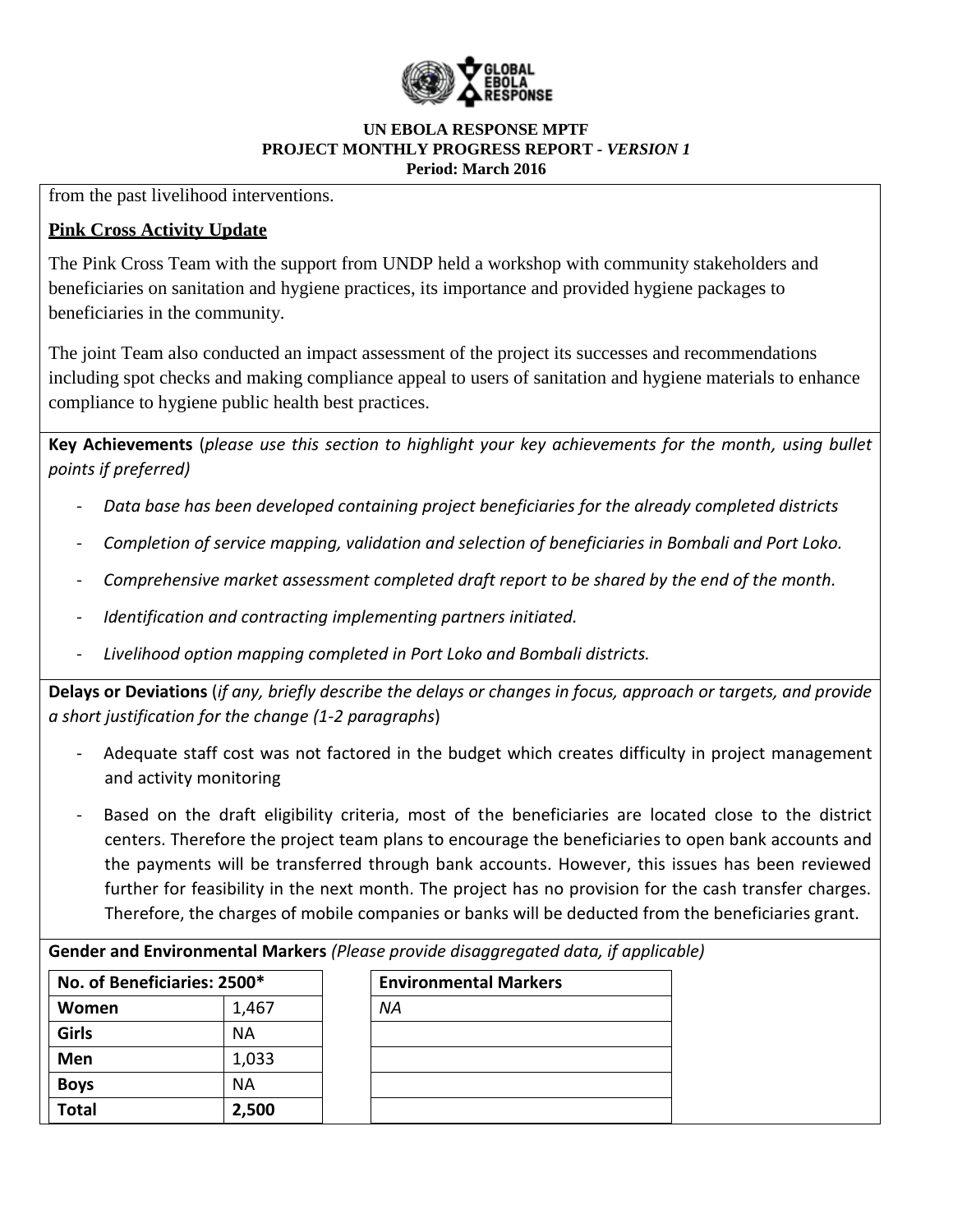

from the past livelihood interventions.

# **Pink Cross Activity Update**

The Pink Cross Team with the support from UNDP held a workshop with community stakeholders and beneficiaries on sanitation and hygiene practices, its importance and provided hygiene packages to beneficiaries in the community.

The joint Team also conducted an impact assessment of the project its successes and recommendations including spot checks and making compliance appeal to users of sanitation and hygiene materials to enhance compliance to hygiene public health best practices.

**Key Achievements** (*please use this section to highlight your key achievements for the month, using bullet points if preferred)*

- *Data base has been developed containing project beneficiaries for the already completed districts*
- *Completion of service mapping, validation and selection of beneficiaries in Bombali and Port Loko.*
- *Comprehensive market assessment completed draft report to be shared by the end of the month.*
- *Identification and contracting implementing partners initiated.*
- *Livelihood option mapping completed in Port Loko and Bombali districts.*

**Delays or Deviations** (*if any, briefly describe the delays or changes in focus, approach or targets, and provide a short justification for the change (1-2 paragraphs*)

- Adequate staff cost was not factored in the budget which creates difficulty in project management and activity monitoring
- Based on the draft eligibility criteria, most of the beneficiaries are located close to the district centers. Therefore the project team plans to encourage the beneficiaries to open bank accounts and the payments will be transferred through bank accounts. However, this issues has been reviewed further for feasibility in the next month. The project has no provision for the cash transfer charges. Therefore, the charges of mobile companies or banks will be deducted from the beneficiaries grant.

**Gender and Environmental Markers** *(Please provide disaggregated data, if applicable)*

| No. of Beneficiaries: 2500* |       | <b>Environmental Markers</b> |
|-----------------------------|-------|------------------------------|
| Women                       | 1,467 | NA                           |
| Girls                       | ΝA    |                              |
| Men                         | 1,033 |                              |
| <b>Boys</b>                 | ΝA    |                              |
| <b>Total</b>                | 2,500 |                              |